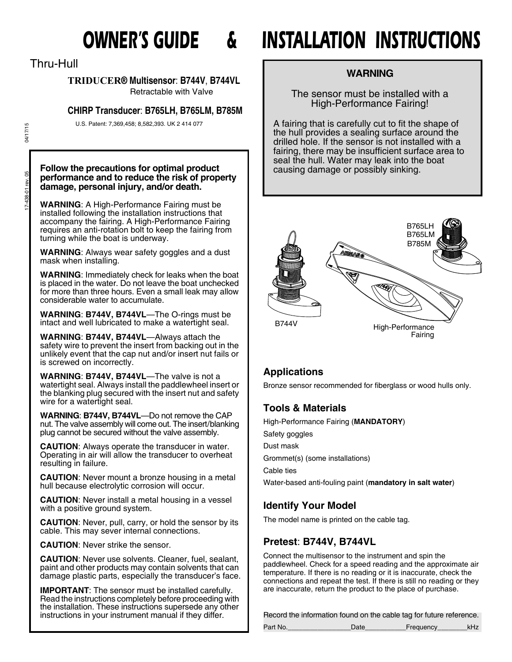Thru-Hull

# **TRIDUCER® Multisensor**: **B744V**, **B744VL**

Retractable with Valve

# **CHIRP Transducer**: **B765LH, B765LM, B785M**

U.S. Patent: 7,369,458; 8,582,393. UK 2 414 077

04/17/15

# Follow the precautions for optimal product **Follow the precautions for optimal product** causing damage or possibly sinking. **performance and to reduce the risk of property performance and to reduce the risk of property damage, personal injury, and/or death.**

**WARNING**: A High-Performance Fairing must be installed following the installation instructions that accompany the fairing. A High-Performance Fairing requires an anti-rotation bolt to keep the fairing from turning while the boat is underway.

**WARNING**: Always wear safety goggles and a dust mask when installing.

**WARNING**: Immediately check for leaks when the boat is placed in the water. Do not leave the boat unchecked for more than three hours. Even a small leak may allow considerable water to accumulate.

**WARNING**: **B744V, B744VL**—The O-rings must be intact and well lubricated to make a watertight seal.

**WARNING**: **B744V, B744VL**—Always attach the safety wire to prevent the insert from backing out in the unlikely event that the cap nut and/or insert nut fails or is screwed on incorrectly.

**WARNING**: **B744V, B744VL**—The valve is not a watertight seal. Always install the paddlewheel insert or the blanking plug secured with the insert nut and safety wire for a watertight seal.

**WARNING**: **B744V, B744VL**—Do not remove the CAP nut. The valve assembly will come out. The insert/blanking plug cannot be secured without the valve assembly.

**CAUTION**: Always operate the transducer in water. Operating in air will allow the transducer to overheat resulting in failure.

**CAUTION**: Never mount a bronze housing in a metal hull because electrolytic corrosion will occur.

**CAUTION**: Never install a metal housing in a vessel with a positive ground system.

**CAUTION**: Never, pull, carry, or hold the sensor by its cable. This may sever internal connections.

**CAUTION**: Never strike the sensor.

**CAUTION**: Never use solvents. Cleaner, fuel, sealant, paint and other products may contain solvents that can damage plastic parts, especially the transducer's face.

**IMPORTANT**: The sensor must be installed carefully. Read the instructions completely before proceeding with the installation. These instructions supersede any other instructions in your instrument manual if they differ.

# *OWNER'S GUIDE & INSTALLATION INSTRUCTIONS*

# **WARNING**

The sensor must be installed with a High-Performance Fairing!

A fairing that is carefully cut to fit the shape of the hull provides a sealing surface around the drilled hole. If the sensor is not installed with a fairing, there may be insufficient surface area to seal the hull. Water may leak into the boat



# **Applications**

Bronze sensor recommended for fiberglass or wood hulls only.

# **Tools & Materials**

High-Performance Fairing (**MANDATORY**) Safety goggles Dust mask Grommet(s) (some installations) Cable ties Water-based anti-fouling paint (**mandatory in salt water**)

# **Identify Your Model**

The model name is printed on the cable tag.

# **Pretest**: **B744V, B744VL**

Connect the multisensor to the instrument and spin the paddlewheel. Check for a speed reading and the approximate air temperature. If there is no reading or it is inaccurate, check the connections and repeat the test. If there is still no reading or they are inaccurate, return the product to the place of purchase.

Record the information found on the cable tag for future reference.

| Part No. | Freauency |  |
|----------|-----------|--|
|          |           |  |

17-438-01 rev. 05 04/17/15 17-438-01 rev. 05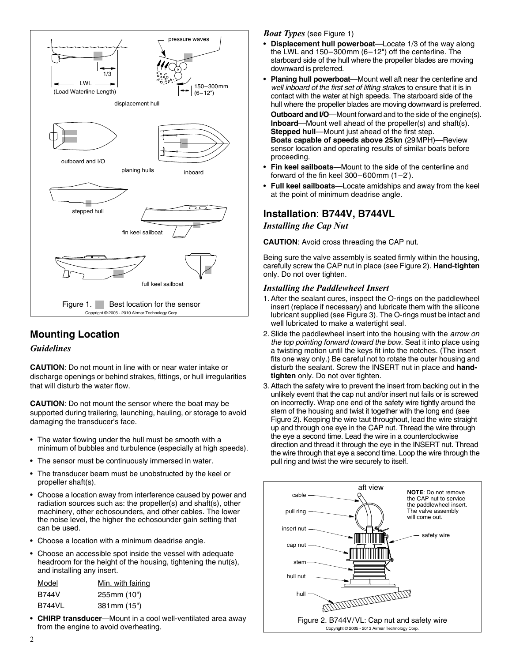

# **Mounting Location**

#### *Guidelines*

**CAUTION**: Do not mount in line with or near water intake or discharge openings or behind strakes, fittings, or hull irregularities that will disturb the water flow.

**CAUTION**: Do not mount the sensor where the boat may be supported during trailering, launching, hauling, or storage to avoid damaging the transducer's face.

- The water flowing under the hull must be smooth with a minimum of bubbles and turbulence (especially at high speeds).
- The sensor must be continuously immersed in water.
- The transducer beam must be unobstructed by the keel or propeller shaft(s).
- Choose a location away from interference caused by power and radiation sources such as: the propeller(s) and shaft(s), other machinery, other echosounders, and other cables. The lower the noise level, the higher the echosounder gain setting that can be used.
- Choose a location with a minimum deadrise angle.
- Choose an accessible spot inside the vessel with adequate headroom for the height of the housing, tightening the nut(s), and installing any insert.

| Model         | Min. with fairing |
|---------------|-------------------|
| <b>B744V</b>  | 255 mm (10")      |
| <b>B744VL</b> | 381 mm (15")      |

• **CHIRP transducer**—Mount in a cool well-ventilated area away from the engine to avoid overheating.

#### *Boat Types* (see Figure 1)

- **Displacement hull powerboat**—Locate 1/3 of the way along the LWL and 150–300mm (6–12") off the centerline. The starboard side of the hull where the propeller blades are moving downward is preferred.
- **Planing hull powerboat**—Mount well aft near the centerline and *well inboard of the first set of lifting strake*s to ensure that it is in contact with the water at high speeds. The starboard side of the hull where the propeller blades are moving downward is preferred.

**Outboard and I/O**—Mount forward and to the side of the engine(s). **Inboard**—Mount well ahead of the propeller(s) and shaft(s). **Stepped hull**—Mount just ahead of the first step. **Boats capable of speeds above 25kn** (29MPH)—Review sensor location and operating results of similar boats before proceeding.

- **Fin keel sailboats**—Mount to the side of the centerline and forward of the fin keel 300–600mm (1–2').
- **Full keel sailboats**—Locate amidships and away from the keel at the point of minimum deadrise angle.

# **Installation**: **B744V, B744VL**

#### *Installing the Cap Nut*

**CAUTION**: Avoid cross threading the CAP nut.

Being sure the valve assembly is seated firmly within the housing, carefully screw the CAP nut in place (see Figure 2). **Hand-tighten** only. Do not over tighten.

#### *Installing the Paddlewheel Insert*

- 1. After the sealant cures, inspect the O-rings on the paddlewheel insert (replace if necessary) and lubricate them with the silicone lubricant supplied (see Figure 3). The O-rings must be intact and well lubricated to make a watertight seal.
- 2. Slide the paddlewheel insert into the housing with the *arrow on the top pointing forward toward the bow.* Seat it into place using a twisting motion until the keys fit into the notches. (The insert fits one way only.) Be careful not to rotate the outer housing and disturb the sealant. Screw the INSERT nut in place and **handtighten** only. Do not over tighten.
- 3. Attach the safety wire to prevent the insert from backing out in the unlikely event that the cap nut and/or insert nut fails or is screwed on incorrectly. Wrap one end of the safety wire tightly around the stem of the housing and twist it together with the long end (see Figure 2). Keeping the wire taut throughout, lead the wire straight up and through one eye in the CAP nut. Thread the wire through the eye a second time. Lead the wire in a counterclockwise direction and thread it through the eye in the INSERT nut. Thread the wire through that eye a second time. Loop the wire through the pull ring and twist the wire securely to itself.

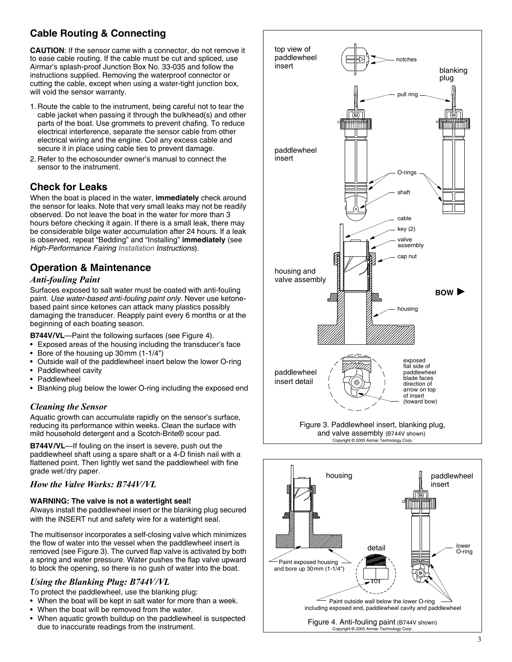# **Cable Routing & Connecting**

**CAUTION**: If the sensor came with a connector, do not remove it to ease cable routing. If the cable must be cut and spliced, use Airmar's splash-proof Junction Box No. 33-035 and follow the instructions supplied. Removing the waterproof connector or cutting the cable, except when using a water-tight junction box, will void the sensor warranty.

- 1. Route the cable to the instrument, being careful not to tear the cable jacket when passing it through the bulkhead(s) and other parts of the boat. Use grommets to prevent chafing. To reduce electrical interference, separate the sensor cable from other electrical wiring and the engine. Coil any excess cable and secure it in place using cable ties to prevent damage.
- 2. Refer to the echosounder owner's manual to connect the sensor to the instrument.

# **Check for Leaks**

When the boat is placed in the water, **immediately** check around the sensor for leaks. Note that very small leaks may not be readily observed. Do not leave the boat in the water for more than 3 hours before checking it again. If there is a small leak, there may be considerable bilge water accumulation after 24 hours. If a leak is observed, repeat "Bedding" and "Installing" **immediately** (see *High-Performance Fairing Installation Instructions*).

# **Operation & Maintenance**

### *Anti-fouling Paint*

Surfaces exposed to salt water must be coated with anti-fouling paint. *Use water-based anti-fouling paint only.* Never use ketonebased paint since ketones can attack many plastics possibly damaging the transducer. Reapply paint every 6 months or at the beginning of each boating season.

**B744V/VL**—Paint the following surfaces (see Figure 4).

- Exposed areas of the housing including the transducer's face
- Bore of the housing up 30mm (1-1/4")
- Outside wall of the paddlewheel insert below the lower O-ring
- Paddlewheel cavity
- **Paddlewheel**
- Blanking plug below the lower O-ring including the exposed end

#### *Cleaning the Sensor*

Aquatic growth can accumulate rapidly on the sensor's surface, reducing its performance within weeks. Clean the surface with mild household detergent and a Scotch-Brite® scour pad.

**B744V/VL**—If fouling on the insert is severe, push out the paddlewheel shaft using a spare shaft or a 4-D finish nail with a flattened point. Then lightly wet sand the paddlewheel with fine grade wet/dry paper.

#### *How the Valve Works: B744V/VL*

#### **WARNING: The valve is not a watertight seal!**

Always install the paddlewheel insert or the blanking plug secured with the INSERT nut and safety wire for a watertight seal.

The multisensor incorporates a self-closing valve which minimizes the flow of water into the vessel when the paddlewheel insert is removed (see Figure 3). The curved flap valve is activated by both a spring and water pressure. Water pushes the flap valve upward to block the opening, so there is no gush of water into the boat.

#### *Using the Blanking Plug: B744V/VL*

To protect the paddlewheel, use the blanking plug:

- When the boat will be kept in salt water for more than a week.
- When the boat will be removed from the water.
- When aquatic growth buildup on the paddlewheel is suspected due to inaccurate readings from the instrument.



Copyright © 2005 Airmar Technology Corp.